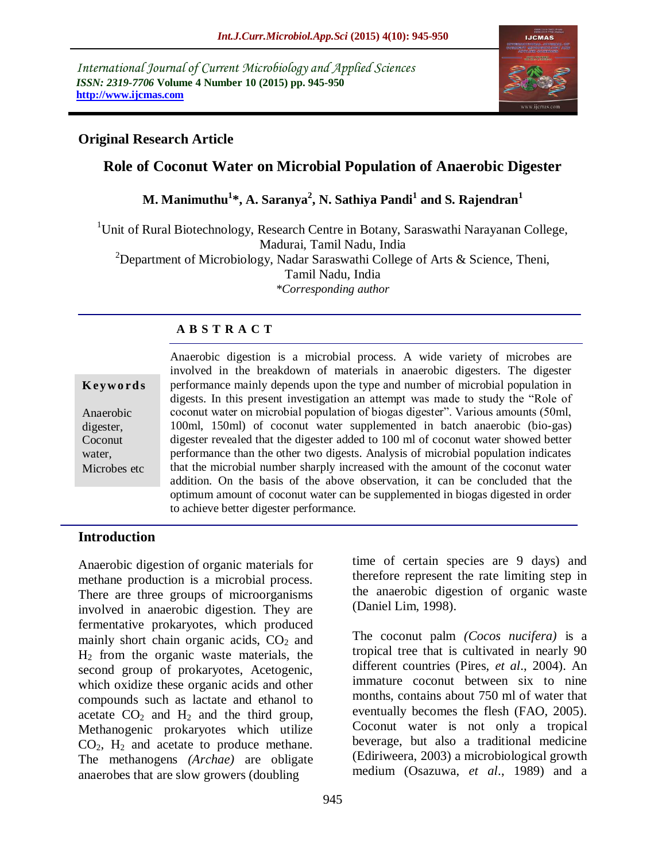*International Journal of Current Microbiology and Applied Sciences ISSN: 2319-7706* **Volume 4 Number 10 (2015) pp. 945-950 http://www.ijcmas.com** 



# **Original Research Article**

# **Role of Coconut Water on Microbial Population of Anaerobic Digester**

# **M. Manimuthu<sup>1</sup> \*, A. Saranya<sup>2</sup> , N. Sathiya Pandi<sup>1</sup> and S. Rajendran<sup>1</sup>**

<sup>1</sup>Unit of Rural Biotechnology, Research Centre in Botany, Saraswathi Narayanan College, Madurai, Tamil Nadu, India <sup>2</sup>Department of Microbiology, Nadar Saraswathi College of Arts  $\&$  Science, Theni, Tamil Nadu, India *\*Corresponding author*

# **A B S T R A C T**

| Keywords |  |
|----------|--|
|----------|--|

Anaerobic digester, Coconut water, Microbes etc Anaerobic digestion is a microbial process. A wide variety of microbes are involved in the breakdown of materials in anaerobic digesters. The digester performance mainly depends upon the type and number of microbial population in digests. In this present investigation an attempt was made to study the "Role of coconut water on microbial population of biogas digester". Various amounts (50ml, 100ml, 150ml) of coconut water supplemented in batch anaerobic (bio-gas) digester revealed that the digester added to 100 ml of coconut water showed better performance than the other two digests. Analysis of microbial population indicates that the microbial number sharply increased with the amount of the coconut water addition. On the basis of the above observation, it can be concluded that the optimum amount of coconut water can be supplemented in biogas digested in order to achieve better digester performance.

# **Introduction**

Anaerobic digestion of organic materials for methane production is a microbial process. There are three groups of microorganisms involved in anaerobic digestion. They are fermentative prokaryotes, which produced mainly short chain organic acids,  $CO<sub>2</sub>$  and H<sup>2</sup> from the organic waste materials, the second group of prokaryotes, Acetogenic, which oxidize these organic acids and other compounds such as lactate and ethanol to acetate  $CO<sub>2</sub>$  and  $H<sub>2</sub>$  and the third group, Methanogenic prokaryotes which utilize  $CO<sub>2</sub>$ ,  $H<sub>2</sub>$  and acetate to produce methane. The methanogens *(Archae)* are obligate anaerobes that are slow growers (doubling

time of certain species are 9 days) and therefore represent the rate limiting step in the anaerobic digestion of organic waste (Daniel Lim, 1998).

The coconut palm *(Cocos nucifera)* is a tropical tree that is cultivated in nearly 90 different countries (Pires, *et al*., 2004). An immature coconut between six to nine months, contains about 750 ml of water that eventually becomes the flesh (FAO, 2005). Coconut water is not only a tropical beverage, but also a traditional medicine (Ediriweera, 2003) a microbiological growth medium (Osazuwa, *et al*., 1989) and a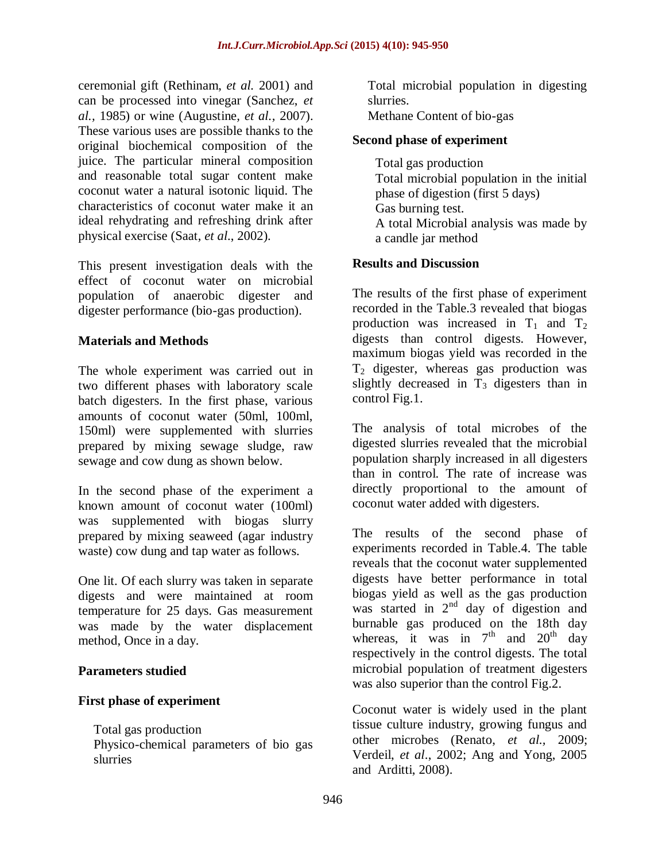ceremonial gift (Rethinam, *et al.* 2001) and can be processed into vinegar (Sanchez, *et al.,* 1985) or wine (Augustine*, et al.,* 2007). These various uses are possible thanks to the original biochemical composition of the juice. The particular mineral composition and reasonable total sugar content make coconut water a natural isotonic liquid. The characteristics of coconut water make it an ideal rehydrating and refreshing drink after physical exercise (Saat, *et al*., 2002).

This present investigation deals with the effect of coconut water on microbial population of anaerobic digester and digester performance (bio-gas production).

# **Materials and Methods**

The whole experiment was carried out in two different phases with laboratory scale batch digesters. In the first phase, various amounts of coconut water (50ml, 100ml, 150ml) were supplemented with slurries prepared by mixing sewage sludge, raw sewage and cow dung as shown below.

In the second phase of the experiment a known amount of coconut water (100ml) was supplemented with biogas slurry prepared by mixing seaweed (agar industry waste) cow dung and tap water as follows.

One lit. Of each slurry was taken in separate digests and were maintained at room temperature for 25 days. Gas measurement was made by the water displacement method, Once in a day.

# **Parameters studied**

# **First phase of experiment**

Total gas production

Physico-chemical parameters of bio gas slurries

Total microbial population in digesting slurries.

Methane Content of bio-gas

# **Second phase of experiment**

Total gas production Total microbial population in the initial phase of digestion (first 5 days) Gas burning test. A total Microbial analysis was made by a candle jar method

# **Results and Discussion**

The results of the first phase of experiment recorded in the Table.3 revealed that biogas production was increased in  $T_1$  and  $T_2$ digests than control digests. However, maximum biogas yield was recorded in the  $T_2$  digester, whereas gas production was slightly decreased in  $T_3$  digesters than in control Fig.1.

The analysis of total microbes of the digested slurries revealed that the microbial population sharply increased in all digesters than in control. The rate of increase was directly proportional to the amount of coconut water added with digesters.

The results of the second phase of experiments recorded in Table.4. The table reveals that the coconut water supplemented digests have better performance in total biogas yield as well as the gas production was started in  $2<sup>nd</sup>$  day of digestion and burnable gas produced on the 18th day whereas, it was in  $7<sup>th</sup>$  and  $20<sup>th</sup>$  day respectively in the control digests. The total microbial population of treatment digesters was also superior than the control Fig.2.

Coconut water is widely used in the plant tissue culture industry, growing fungus and other microbes (Renato, *et al.,* 2009; Verdeil, *et al*., 2002; Ang and Yong, 2005 and Arditti, 2008).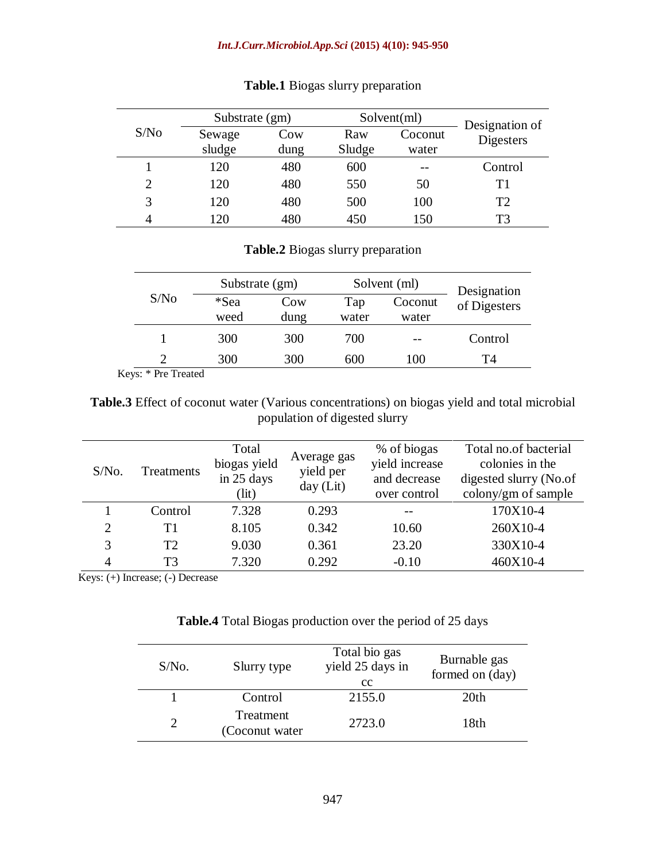#### *Int.J.Curr.Microbiol.App.Sci* **(2015) 4(10): 945-950**

|                             | Substrate (gm) |      | Solution(ml) |         | Designation of |
|-----------------------------|----------------|------|--------------|---------|----------------|
| S/No                        | Sewage         | Cow  | Raw          | Coconut | Digesters      |
|                             | sludge         | dung | Sludge       | water   |                |
|                             | 120            | 480  | 600          |         | Control        |
| $\mathcal{D}_{\mathcal{L}}$ | 120            | 480  | 550          | 50      | Τ1             |
| 3                           | 120            | 480  | 500          | 100     | T2             |
|                             | 20             | 480  | 450          | 150     | T3             |

# **Table.1** Biogas slurry preparation

#### **Table.2** Biogas slurry preparation

|               |              | Substrate (gm) |              | Solvent (ml)     | Designation  |
|---------------|--------------|----------------|--------------|------------------|--------------|
| S/No          | *Sea<br>weed | Cow<br>dung    | Tap<br>water | Coconut<br>water | of Digesters |
|               |              |                |              |                  |              |
|               | 300          | 300            | 700          | $- -$            | Control      |
| $\mathcal{D}$ | 300          | 300            | 600          | 100              | T4           |

Keys: \* Pre Treated

**Table.3** Effect of coconut water (Various concentrations) on biogas yield and total microbial population of digested slurry

| $S/N0$ . | Treatments     | Total<br>biogas yield<br>in 25 days<br>(lit) | Average gas<br>yield per<br>day $(Lit)$ | % of biogas<br>yield increase<br>and decrease<br>over control | Total no.of bacterial<br>colonies in the<br>digested slurry (No.of<br>colony/gm of sample |
|----------|----------------|----------------------------------------------|-----------------------------------------|---------------------------------------------------------------|-------------------------------------------------------------------------------------------|
|          | Control        | 7.328                                        | 0.293                                   |                                                               | 170X10-4                                                                                  |
| 2        | T1             | 8.105                                        | 0.342                                   | 10.60                                                         | 260X10-4                                                                                  |
|          | T <sub>2</sub> | 9.030                                        | 0.361                                   | 23.20                                                         | 330X10-4                                                                                  |
|          | T <sub>3</sub> | 7.320                                        | 0.292                                   | $-0.10$                                                       | 460X10-4                                                                                  |

Keys: (+) Increase; (-) Decrease

#### **Table.4** Total Biogas production over the period of 25 days

| $S/N0$ . | Slurry type                 | Total bio gas<br>yield 25 days in<br>cc | Burnable gas<br>formed on (day) |
|----------|-----------------------------|-----------------------------------------|---------------------------------|
|          | Control                     | 2155.0                                  | 20th                            |
|          | Treatment<br>(Coconut water | 2723.0                                  | 18th                            |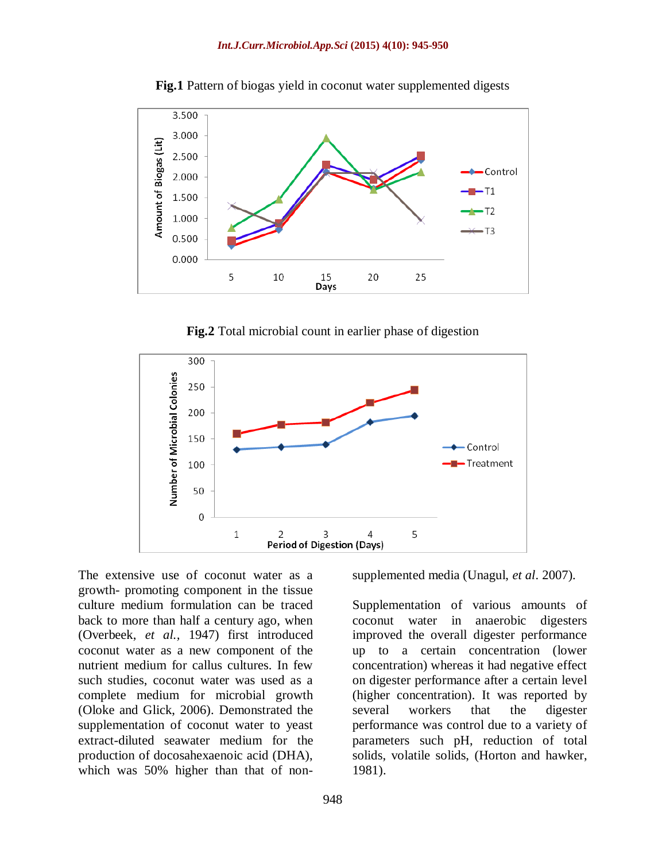

**Fig.1** Pattern of biogas yield in coconut water supplemented digests

**Fig.2** Total microbial count in earlier phase of digestion



The extensive use of coconut water as a growth- promoting component in the tissue culture medium formulation can be traced back to more than half a century ago, when (Overbeek, *et al.,* 1947) first introduced coconut water as a new component of the nutrient medium for callus cultures. In few such studies, coconut water was used as a complete medium for microbial growth (Oloke and Glick, 2006). Demonstrated the supplementation of coconut water to yeast extract-diluted seawater medium for the production of docosahexaenoic acid (DHA), which was 50% higher than that of non-

948

supplemented media (Unagul, *et al*. 2007).

Supplementation of various amounts of coconut water in anaerobic digesters improved the overall digester performance up to a certain concentration (lower concentration) whereas it had negative effect on digester performance after a certain level (higher concentration). It was reported by several workers that the digester performance was control due to a variety of parameters such pH, reduction of total solids, volatile solids, (Horton and hawker, 1981).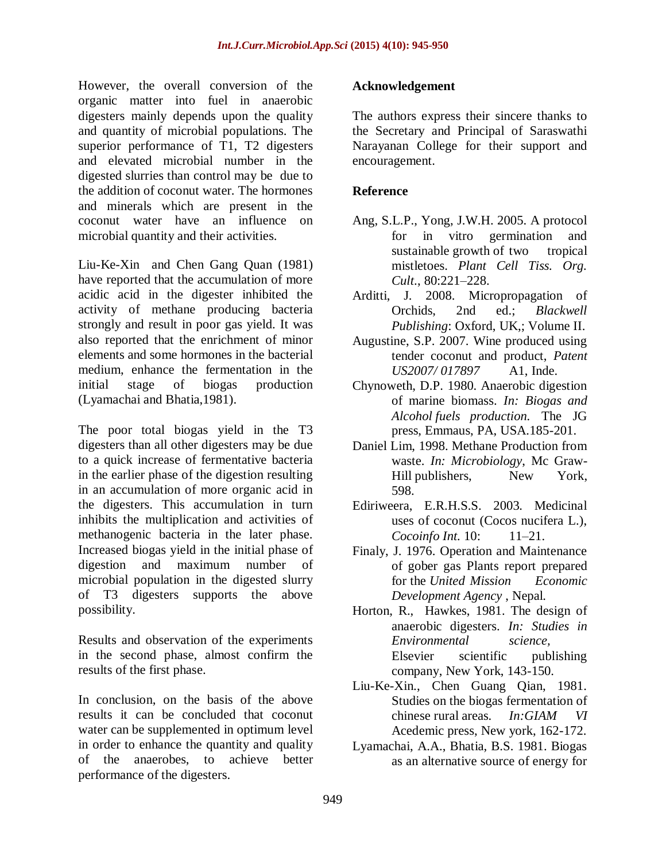However, the overall conversion of the organic matter into fuel in anaerobic digesters mainly depends upon the quality and quantity of microbial populations. The superior performance of T1, T2 digesters and elevated microbial number in the digested slurries than control may be due to the addition of coconut water. The hormones and minerals which are present in the coconut water have an influence on microbial quantity and their activities.

Liu-Ke-Xin and Chen Gang Quan (1981) have reported that the accumulation of more acidic acid in the digester inhibited the activity of methane producing bacteria strongly and result in poor gas yield. It was also reported that the enrichment of minor elements and some hormones in the bacterial medium, enhance the fermentation in the initial stage of biogas production (Lyamachai and Bhatia,1981).

The poor total biogas yield in the T3 digesters than all other digesters may be due to a quick increase of fermentative bacteria in the earlier phase of the digestion resulting in an accumulation of more organic acid in the digesters. This accumulation in turn inhibits the multiplication and activities of methanogenic bacteria in the later phase. Increased biogas yield in the initial phase of digestion and maximum number of microbial population in the digested slurry of T3 digesters supports the above possibility.

Results and observation of the experiments in the second phase, almost confirm the results of the first phase.

In conclusion, on the basis of the above results it can be concluded that coconut water can be supplemented in optimum level in order to enhance the quantity and quality of the anaerobes, to achieve better performance of the digesters.

# **Acknowledgement**

The authors express their sincere thanks to the Secretary and Principal of Saraswathi Narayanan College for their support and encouragement.

# **Reference**

- Ang, S.L.P., Yong, J.W.H. 2005. A protocol for in vitro germination and sustainable growth of two tropical mistletoes. *Plant Cell Tiss. Org. Cult*., 80:221–228.
- Arditti, J. 2008. Micropropagation of Orchids, 2nd ed.; *Blackwell Publishing*: Oxford, UK,; Volume II.
- Augustine, S.P. 2007. Wine produced using tender coconut and product, *Patent US2007/ 017897* A1, Inde.
- Chynoweth, D.P. 1980. Anaerobic digestion of marine biomass. *In: Biogas and Alcohol fuels production.* The JG press, Emmaus, PA, USA.185-201.
- Daniel Lim, 1998. Methane Production from waste. *In: Microbiology*, Mc Graw-Hill publishers, New York, 598.
- Ediriweera, E.R.H.S.S. 2003. Medicinal uses of coconut (Cocos nucifera L.), *Cocoinfo Int.* 10: 11–21.
- Finaly, J. 1976. Operation and Maintenance of gober gas Plants report prepared for the *United Mission Economic Development Agency* , Nepal.
- Horton, R., Hawkes, 1981. The design of anaerobic digesters. *In: Studies in Environmental science,*  Elsevier scientific publishing company, New York, 143-150.
- Liu-Ke-Xin., Chen Guang Qian, 1981. Studies on the biogas fermentation of chinese rural areas. *In:GIAM VI* Acedemic press, New york, 162-172.
- Lyamachai, A.A., Bhatia, B.S. 1981. Biogas as an alternative source of energy for